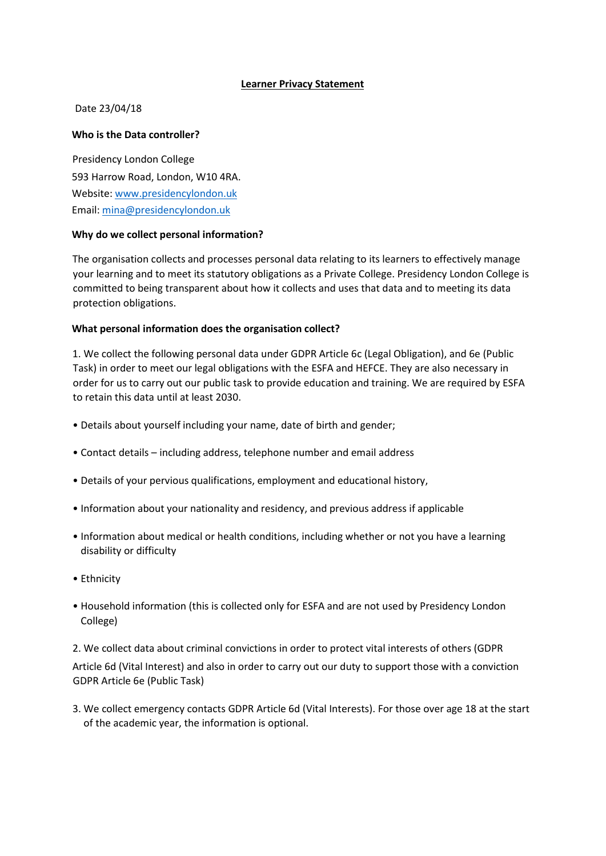## **Learner Privacy Statement**

## Date 23/04/18

## **Who is the Data controller?**

Presidency London College 593 Harrow Road, London, W10 4RA. Website[:](http://www.escg.ac.uk/) [ww](http://www.escg.ac.uk/)w.presidencylondon.uk Email: mina@presidencylondon.uk

## **Why do we collect personal information?**

The organisation collects and processes personal data relating to its learners to effectively manage your learning and to meet its statutory obligations as a Private College. Presidency London College is committed to being transparent about how it collects and uses that data and to meeting its data protection obligations.

## **What personal information does the organisation collect?**

1. We collect the following personal data under GDPR Article 6c (Legal Obligation), and 6e (Public Task) in order to meet our legal obligations with the ESFA and HEFCE. They are also necessary in order for us to carry out our public task to provide education and training. We are required by ESFA to retain this data until at least 2030.

- Details about yourself including your name, date of birth and gender;
- Contact details including address, telephone number and email address
- Details of your pervious qualifications, employment and educational history,
- Information about your nationality and residency, and previous address if applicable
- Information about medical or health conditions, including whether or not you have a learning disability or difficulty
- Ethnicity
- Household information (this is collected only for ESFA and are not used by Presidency London College)

2. We collect data about criminal convictions in order to protect vital interests of others (GDPR Article 6d (Vital Interest) and also in order to carry out our duty to support those with a conviction GDPR Article 6e (Public Task)

3. We collect emergency contacts GDPR Article 6d (Vital Interests). For those over age 18 at the start of the academic year, the information is optional.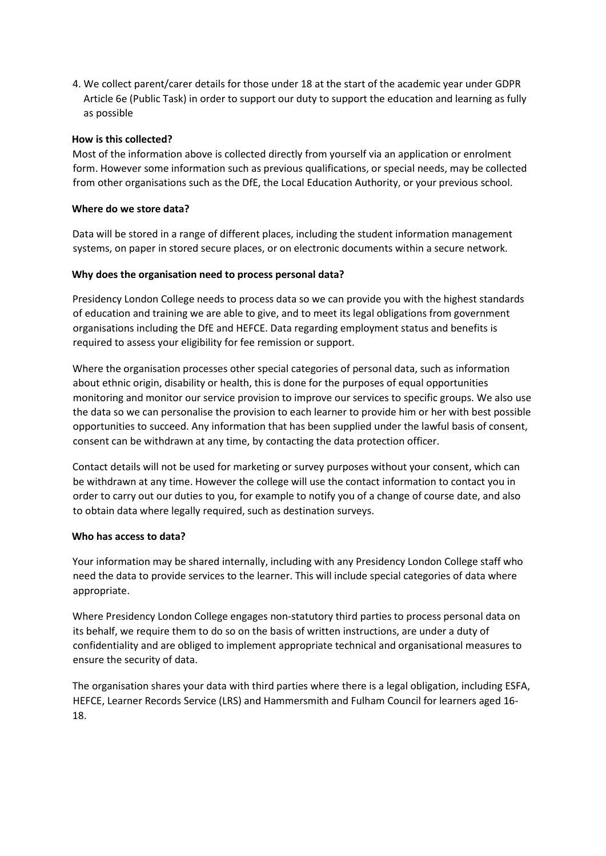4. We collect parent/carer details for those under 18 at the start of the academic year under GDPR Article 6e (Public Task) in order to support our duty to support the education and learning as fully as possible

## **How is this collected?**

Most of the information above is collected directly from yourself via an application or enrolment form. However some information such as previous qualifications, or special needs, may be collected from other organisations such as the DfE, the Local Education Authority, or your previous school.

## **Where do we store data?**

Data will be stored in a range of different places, including the student information management systems, on paper in stored secure places, or on electronic documents within a secure network.

# **Why does the organisation need to process personal data?**

Presidency London College needs to process data so we can provide you with the highest standards of education and training we are able to give, and to meet its legal obligations from government organisations including the DfE and HEFCE. Data regarding employment status and benefits is required to assess your eligibility for fee remission or support.

Where the organisation processes other special categories of personal data, such as information about ethnic origin, disability or health, this is done for the purposes of equal opportunities monitoring and monitor our service provision to improve our services to specific groups. We also use the data so we can personalise the provision to each learner to provide him or her with best possible opportunities to succeed. Any information that has been supplied under the lawful basis of consent, consent can be withdrawn at any time, by contacting the data protection officer.

Contact details will not be used for marketing or survey purposes without your consent, which can be withdrawn at any time. However the college will use the contact information to contact you in order to carry out our duties to you, for example to notify you of a change of course date, and also to obtain data where legally required, such as destination surveys.

# **Who has access to data?**

Your information may be shared internally, including with any Presidency London College staff who need the data to provide services to the learner. This will include special categories of data where appropriate.

Where Presidency London College engages non-statutory third parties to process personal data on its behalf, we require them to do so on the basis of written instructions, are under a duty of confidentiality and are obliged to implement appropriate technical and organisational measures to ensure the security of data.

The organisation shares your data with third parties where there is a legal obligation, including ESFA, HEFCE, Learner Records Service (LRS) and Hammersmith and Fulham Council for learners aged 16- 18.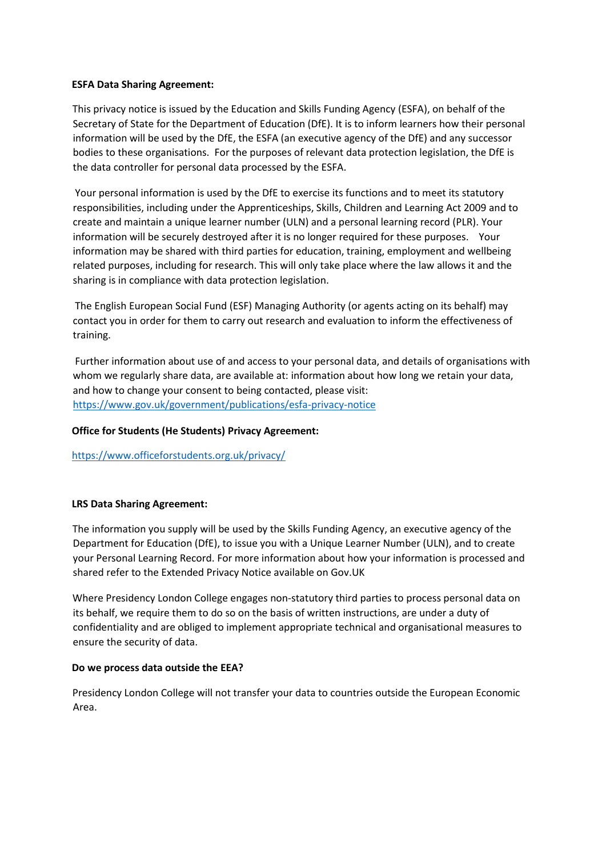## **ESFA Data Sharing Agreement:**

This privacy notice is issued by the Education and Skills Funding Agency (ESFA), on behalf of the Secretary of State for the Department of Education (DfE). It is to inform learners how their personal information will be used by the DfE, the ESFA (an executive agency of the DfE) and any successor bodies to these organisations. For the purposes of relevant data protection legislation, the DfE is the data controller for personal data processed by the ESFA.

Your personal information is used by the DfE to exercise its functions and to meet its statutory responsibilities, including under the Apprenticeships, Skills, Children and Learning Act 2009 and to create and maintain a unique learner number (ULN) and a personal learning record (PLR). Your information will be securely destroyed after it is no longer required for these purposes. Your information may be shared with third parties for education, training, employment and wellbeing related purposes, including for research. This will only take place where the law allows it and the sharing is in compliance with data protection legislation.

The English European Social Fund (ESF) Managing Authority (or agents acting on its behalf) may contact you in order for them to carry out research and evaluation to inform the effectiveness of training.

Further information about use of and access to your personal data, and details of organisations with whom we regularly share data, are available at: information about how long we retain your data, and how to change your consent to being contacted, please visit: <https://www.gov.uk/government/publications/esfa-privacy-notice>

## **Office for Students (He Students) Privacy Agreement:**

<https://www.officeforstudents.org.uk/privacy/>

## **LRS Data Sharing Agreement:**

The information you supply will be used by the Skills Funding Agency, an executive agency of the Department for Education (DfE), to issue you with a Unique Learner Number (ULN), and to create your Personal Learning Record. For more information about how your information is processed and shared refer to the Extended Privacy Notice available on Gov.UK

Where Presidency London College engages non-statutory third parties to process personal data on its behalf, we require them to do so on the basis of written instructions, are under a duty of confidentiality and are obliged to implement appropriate technical and organisational measures to ensure the security of data.

## **Do we process data outside the EEA?**

Presidency London College will not transfer your data to countries outside the European Economic Area.